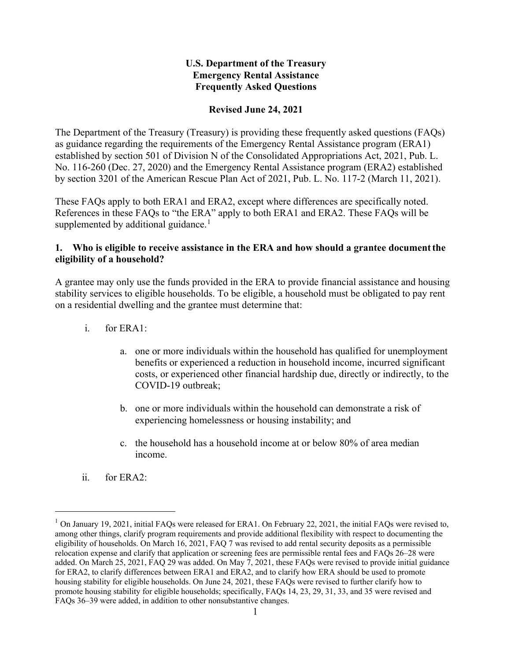## **U.S. Department of the Treasury Emergency Rental Assistance Frequently Asked Questions**

#### **Revised June 24, 2021**

The Department of the Treasury (Treasury) is providing these frequently asked questions (FAQs) as guidance regarding the requirements of the Emergency Rental Assistance program (ERA1) established by section 501 of Division N of the Consolidated Appropriations Act, 2021, Pub. L. No. 116-260 (Dec. 27, 2020) and the Emergency Rental Assistance program (ERA2) established by section 3201 of the American Rescue Plan Act of 2021, Pub. L. No. 117-2 (March 11, 2021).

These FAQs apply to both ERA1 and ERA2, except where differences are specifically noted. References in these FAQs to "the ERA" apply to both ERA1 and ERA2. These FAQs will be supplemented by additional guidance.<sup>[1](#page-0-0)</sup>

#### **1. Who is eligible to receive assistance in the ERA and how should a grantee documentthe eligibility of a household?**

A grantee may only use the funds provided in the ERA to provide financial assistance and housing stability services to eligible households. To be eligible, a household must be obligated to pay rent on a residential dwelling and the grantee must determine that:

- i. for ERA1:
	- a. one or more individuals within the household has qualified for unemployment benefits or experienced a reduction in household income, incurred significant costs, or experienced other financial hardship due, directly or indirectly, to the COVID-19 outbreak;
	- b. one or more individuals within the household can demonstrate a risk of experiencing homelessness or housing instability; and
	- c. the household has a household income at or below 80% of area median income.
- ii. for ERA2:

<span id="page-0-0"></span> $1$  On January 19, 2021, initial FAQs were released for ERA1. On February 22, 2021, the initial FAQs were revised to, among other things, clarify program requirements and provide additional flexibility with respect to documenting the eligibility of households. On March 16, 2021, FAQ 7 was revised to add rental security deposits as a permissible relocation expense and clarify that application or screening fees are permissible rental fees and FAQs 26–28 were added. On March 25, 2021, FAQ 29 was added. On May 7, 2021, these FAQs were revised to provide initial guidance for ERA2, to clarify differences between ERA1 and ERA2, and to clarify how ERA should be used to promote housing stability for eligible households. On June 24, 2021, these FAQs were revised to further clarify how to promote housing stability for eligible households; specifically, FAQs 14, 23, 29, 31, 33, and 35 were revised and FAQs 36–39 were added, in addition to other nonsubstantive changes.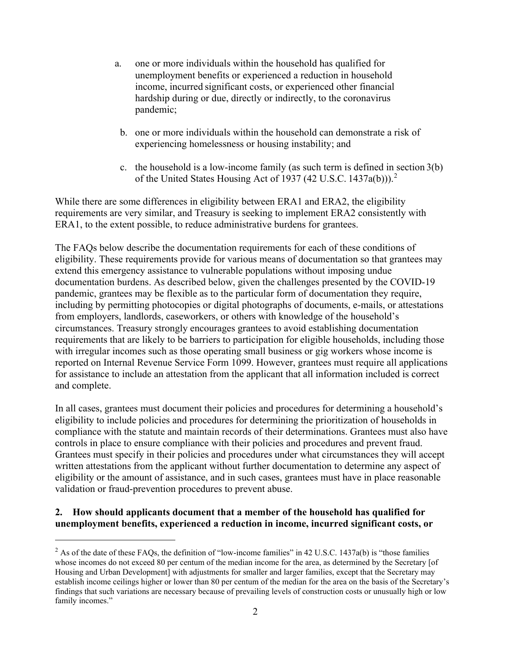- a. one or more individuals within the household has qualified for unemployment benefits or experienced a reduction in household income, incurred significant costs, or experienced other financial hardship during or due, directly or indirectly, to the coronavirus pandemic;
- b. one or more individuals within the household can demonstrate a risk of experiencing homelessness or housing instability; and
- c. the household is a low-income family (as such term is defined in section 3(b) of the United States Housing Act of 1937 (4[2](#page-1-0) U.S.C. 1437a(b))).<sup>2</sup>

While there are some differences in eligibility between ERA1 and ERA2, the eligibility requirements are very similar, and Treasury is seeking to implement ERA2 consistently with ERA1, to the extent possible, to reduce administrative burdens for grantees.

The FAQs below describe the documentation requirements for each of these conditions of eligibility. These requirements provide for various means of documentation so that grantees may extend this emergency assistance to vulnerable populations without imposing undue documentation burdens. As described below, given the challenges presented by the COVID-19 pandemic, grantees may be flexible as to the particular form of documentation they require, including by permitting photocopies or digital photographs of documents, e-mails, or attestations from employers, landlords, caseworkers, or others with knowledge of the household's circumstances. Treasury strongly encourages grantees to avoid establishing documentation requirements that are likely to be barriers to participation for eligible households, including those with irregular incomes such as those operating small business or gig workers whose income is reported on Internal Revenue Service Form 1099. However, grantees must require all applications for assistance to include an attestation from the applicant that all information included is correct and complete.

In all cases, grantees must document their policies and procedures for determining a household's eligibility to include policies and procedures for determining the prioritization of households in compliance with the statute and maintain records of their determinations. Grantees must also have controls in place to ensure compliance with their policies and procedures and prevent fraud. Grantees must specify in their policies and procedures under what circumstances they will accept written attestations from the applicant without further documentation to determine any aspect of eligibility or the amount of assistance, and in such cases, grantees must have in place reasonable validation or fraud-prevention procedures to prevent abuse.

# **2. How should applicants document that a member of the household has qualified for unemployment benefits, experienced a reduction in income, incurred significant costs, or**

<span id="page-1-0"></span> $2$  As of the date of these FAQs, the definition of "low-income families" in 42 U.S.C. 1437a(b) is "those families" whose incomes do not exceed 80 per centum of the median income for the area, as determined by the Secretary [of Housing and Urban Development] with adjustments for smaller and larger families, except that the Secretary may establish income ceilings higher or lower than 80 per centum of the median for the area on the basis of the Secretary's findings that such variations are necessary because of prevailing levels of construction costs or unusually high or low family incomes."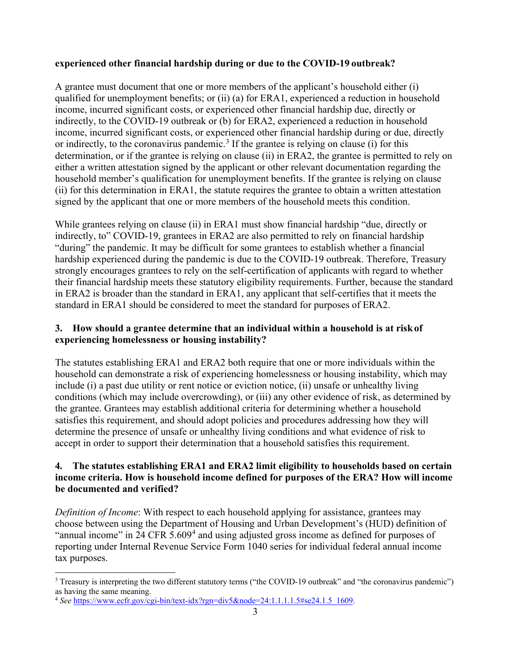## **experienced other financial hardship during or due to the COVID-19 outbreak?**

A grantee must document that one or more members of the applicant's household either (i) qualified for unemployment benefits; or (ii) (a) for ERA1, experienced a reduction in household income, incurred significant costs, or experienced other financial hardship due, directly or indirectly, to the COVID-19 outbreak or (b) for ERA2, experienced a reduction in household income, incurred significant costs, or experienced other financial hardship during or due, directly or indirectly, to the coronavirus pandemic.<sup>[3](#page-2-0)</sup> If the grantee is relying on clause (i) for this determination, or if the grantee is relying on clause (ii) in ERA2, the grantee is permitted to rely on either a written attestation signed by the applicant or other relevant documentation regarding the household member's qualification for unemployment benefits. If the grantee is relying on clause (ii) for this determination in ERA1, the statute requires the grantee to obtain a written attestation signed by the applicant that one or more members of the household meets this condition.

While grantees relying on clause (ii) in ERA1 must show financial hardship "due, directly or indirectly, to" COVID-19, grantees in ERA2 are also permitted to rely on financial hardship "during" the pandemic. It may be difficult for some grantees to establish whether a financial hardship experienced during the pandemic is due to the COVID-19 outbreak. Therefore, Treasury strongly encourages grantees to rely on the self-certification of applicants with regard to whether their financial hardship meets these statutory eligibility requirements. Further, because the standard in ERA2 is broader than the standard in ERA1, any applicant that self-certifies that it meets the standard in ERA1 should be considered to meet the standard for purposes of ERA2.

## **3. How should a grantee determine that an individual within a household is at riskof experiencing homelessness or housing instability?**

The statutes establishing ERA1 and ERA2 both require that one or more individuals within the household can demonstrate a risk of experiencing homelessness or housing instability, which may include (i) a past due utility or rent notice or eviction notice, (ii) unsafe or unhealthy living conditions (which may include overcrowding), or (iii) any other evidence of risk, as determined by the grantee. Grantees may establish additional criteria for determining whether a household satisfies this requirement, and should adopt policies and procedures addressing how they will determine the presence of unsafe or unhealthy living conditions and what evidence of risk to accept in order to support their determination that a household satisfies this requirement.

## **4. The statutes establishing ERA1 and ERA2 limit eligibility to households based on certain income criteria. How is household income defined for purposes of the ERA? How will income be documented and verified?**

*Definition of Income*: With respect to each household applying for assistance, grantees may choose between using the Department of Housing and Urban Development's (HUD) definition of "annual income" in 2[4](#page-2-1) CFR 5.609<sup>4</sup> and using adjusted gross income as defined for purposes of reporting under Internal Revenue Service Form 1040 series for individual federal annual income tax purposes.

<span id="page-2-0"></span><sup>&</sup>lt;sup>3</sup> Treasury is interpreting the two different statutory terms ("the COVID-19 outbreak" and "the coronavirus pandemic") as having the same meaning.

<span id="page-2-1"></span><sup>4</sup> *See* https:/[/www.ecfr.gov/cgi-bin/text-idx?rgn=div5&node=24:1.1.1.1.5#se24.1.5\\_1609.](http://www.ecfr.gov/cgi-bin/text-idx?rgn=div5&node=24%3A1.1.1.1.5&se24.1.5_1609)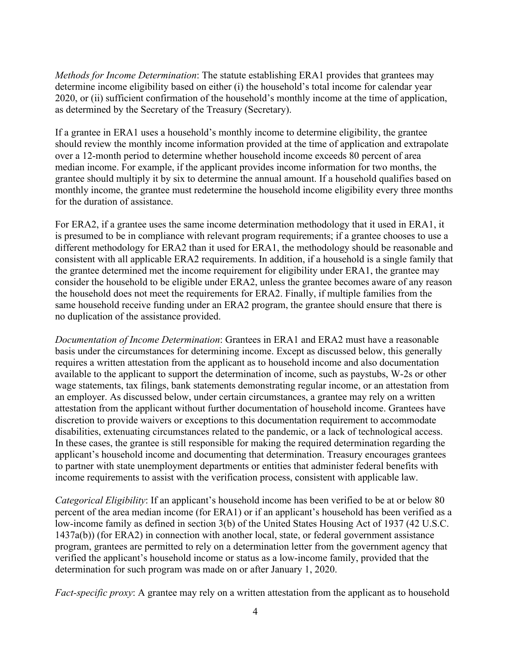*Methods for Income Determination*: The statute establishing ERA1 provides that grantees may determine income eligibility based on either (i) the household's total income for calendar year 2020, or (ii) sufficient confirmation of the household's monthly income at the time of application, as determined by the Secretary of the Treasury (Secretary).

If a grantee in ERA1 uses a household's monthly income to determine eligibility, the grantee should review the monthly income information provided at the time of application and extrapolate over a 12-month period to determine whether household income exceeds 80 percent of area median income. For example, if the applicant provides income information for two months, the grantee should multiply it by six to determine the annual amount. If a household qualifies based on monthly income, the grantee must redetermine the household income eligibility every three months for the duration of assistance.

For ERA2, if a grantee uses the same income determination methodology that it used in ERA1, it is presumed to be in compliance with relevant program requirements; if a grantee chooses to use a different methodology for ERA2 than it used for ERA1, the methodology should be reasonable and consistent with all applicable ERA2 requirements. In addition, if a household is a single family that the grantee determined met the income requirement for eligibility under ERA1, the grantee may consider the household to be eligible under ERA2, unless the grantee becomes aware of any reason the household does not meet the requirements for ERA2. Finally, if multiple families from the same household receive funding under an ERA2 program, the grantee should ensure that there is no duplication of the assistance provided.

*Documentation of Income Determination*: Grantees in ERA1 and ERA2 must have a reasonable basis under the circumstances for determining income. Except as discussed below, this generally requires a written attestation from the applicant as to household income and also documentation available to the applicant to support the determination of income, such as paystubs, W-2s or other wage statements, tax filings, bank statements demonstrating regular income, or an attestation from an employer. As discussed below, under certain circumstances, a grantee may rely on a written attestation from the applicant without further documentation of household income. Grantees have discretion to provide waivers or exceptions to this documentation requirement to accommodate disabilities, extenuating circumstances related to the pandemic, or a lack of technological access. In these cases, the grantee is still responsible for making the required determination regarding the applicant's household income and documenting that determination. Treasury encourages grantees to partner with state unemployment departments or entities that administer federal benefits with income requirements to assist with the verification process, consistent with applicable law.

*Categorical Eligibility*: If an applicant's household income has been verified to be at or below 80 percent of the area median income (for ERA1) or if an applicant's household has been verified as a low-income family as defined in section 3(b) of the United States Housing Act of 1937 (42 U.S.C. 1437a(b)) (for ERA2) in connection with another local, state, or federal government assistance program, grantees are permitted to rely on a determination letter from the government agency that verified the applicant's household income or status as a low-income family, provided that the determination for such program was made on or after January 1, 2020.

*Fact-specific proxy*: A grantee may rely on a written attestation from the applicant as to household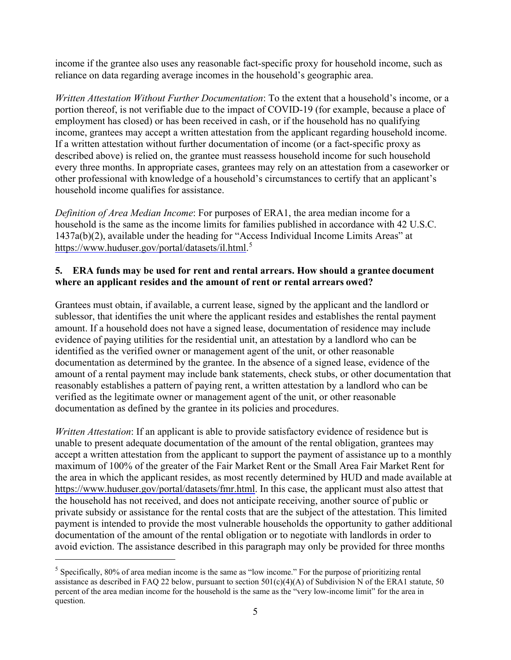income if the grantee also uses any reasonable fact-specific proxy for household income, such as reliance on data regarding average incomes in the household's geographic area.

*Written Attestation Without Further Documentation*: To the extent that a household's income, or a portion thereof, is not verifiable due to the impact of COVID-19 (for example, because a place of employment has closed) or has been received in cash, or if the household has no qualifying income, grantees may accept a written attestation from the applicant regarding household income. If a written attestation without further documentation of income (or a fact-specific proxy as described above) is relied on, the grantee must reassess household income for such household every three months. In appropriate cases, grantees may rely on an attestation from a caseworker or other professional with knowledge of a household's circumstances to certify that an applicant's household income qualifies for assistance.

*Definition of Area Median Income*: For purposes of ERA1, the area median income for a household is the same as the income limits for families published in accordance with 42 U.S.C. 1437a(b)(2), available under the heading for "Access Individual Income Limits Areas" at [https://www.huduser.gov/portal/datasets/il.html.](http://www.huduser.gov/portal/datasets/il.html.5)<sup>[5](#page-4-0)</sup>

#### **5. ERA funds may be used for rent and rental arrears. How should a grantee document where an applicant resides and the amount of rent or rental arrears owed?**

Grantees must obtain, if available, a current lease, signed by the applicant and the landlord or sublessor, that identifies the unit where the applicant resides and establishes the rental payment amount. If a household does not have a signed lease, documentation of residence may include evidence of paying utilities for the residential unit, an attestation by a landlord who can be identified as the verified owner or management agent of the unit, or other reasonable documentation as determined by the grantee. In the absence of a signed lease, evidence of the amount of a rental payment may include bank statements, check stubs, or other documentation that reasonably establishes a pattern of paying rent, a written attestation by a landlord who can be verified as the legitimate owner or management agent of the unit, or other reasonable documentation as defined by the grantee in its policies and procedures.

*Written Attestation*: If an applicant is able to provide satisfactory evidence of residence but is unable to present adequate documentation of the amount of the rental obligation, grantees may accept a written attestation from the applicant to support the payment of assistance up to a monthly maximum of 100% of the greater of the Fair Market Rent or the Small Area Fair Market Rent for the area in which the applicant resides, as most recently determined by HUD and made available at [https://www.huduser.gov/portal/datasets/fmr.html.](http://www.huduser.gov/portal/datasets/fmr.html) In this case, the applicant must also attest that the household has not received, and does not anticipate receiving, another source of public or private subsidy or assistance for the rental costs that are the subject of the attestation. This limited payment is intended to provide the most vulnerable households the opportunity to gather additional documentation of the amount of the rental obligation or to negotiate with landlords in order to avoid eviction. The assistance described in this paragraph may only be provided for three months

<span id="page-4-0"></span><sup>&</sup>lt;sup>5</sup> Specifically, 80% of area median income is the same as "low income." For the purpose of prioritizing rental assistance as described in FAQ 22 below, pursuant to section  $501(c)(4)(A)$  of Subdivision N of the ERA1 statute, 50 percent of the area median income for the household is the same as the "very low-income limit" for the area in question.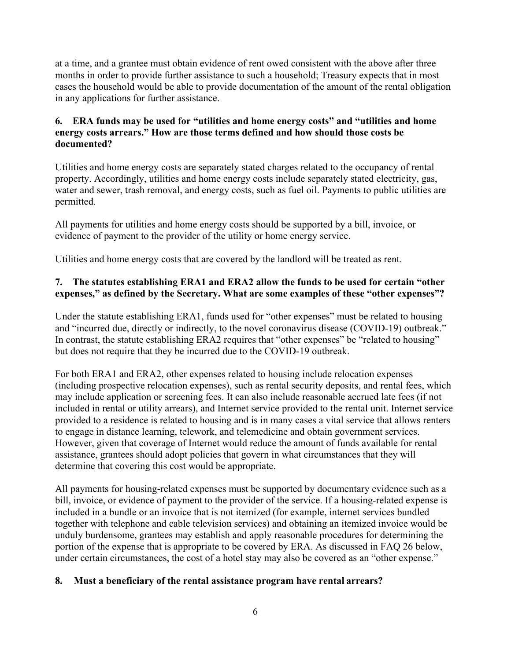at a time, and a grantee must obtain evidence of rent owed consistent with the above after three months in order to provide further assistance to such a household; Treasury expects that in most cases the household would be able to provide documentation of the amount of the rental obligation in any applications for further assistance.

## **6. ERA funds may be used for "utilities and home energy costs" and "utilities and home energy costs arrears." How are those terms defined and how should those costs be documented?**

Utilities and home energy costs are separately stated charges related to the occupancy of rental property. Accordingly, utilities and home energy costs include separately stated electricity, gas, water and sewer, trash removal, and energy costs, such as fuel oil. Payments to public utilities are permitted.

All payments for utilities and home energy costs should be supported by a bill, invoice, or evidence of payment to the provider of the utility or home energy service.

Utilities and home energy costs that are covered by the landlord will be treated as rent.

# **7. The statutes establishing ERA1 and ERA2 allow the funds to be used for certain "other expenses," as defined by the Secretary. What are some examples of these "other expenses"?**

Under the statute establishing ERA1, funds used for "other expenses" must be related to housing and "incurred due, directly or indirectly, to the novel coronavirus disease (COVID-19) outbreak." In contrast, the statute establishing ERA2 requires that "other expenses" be "related to housing" but does not require that they be incurred due to the COVID-19 outbreak.

For both ERA1 and ERA2, other expenses related to housing include relocation expenses (including prospective relocation expenses), such as rental security deposits, and rental fees, which may include application or screening fees. It can also include reasonable accrued late fees (if not included in rental or utility arrears), and Internet service provided to the rental unit. Internet service provided to a residence is related to housing and is in many cases a vital service that allows renters to engage in distance learning, telework, and telemedicine and obtain government services. However, given that coverage of Internet would reduce the amount of funds available for rental assistance, grantees should adopt policies that govern in what circumstances that they will determine that covering this cost would be appropriate.

All payments for housing-related expenses must be supported by documentary evidence such as a bill, invoice, or evidence of payment to the provider of the service. If a housing-related expense is included in a bundle or an invoice that is not itemized (for example, internet services bundled together with telephone and cable television services) and obtaining an itemized invoice would be unduly burdensome, grantees may establish and apply reasonable procedures for determining the portion of the expense that is appropriate to be covered by ERA. As discussed in FAQ 26 below, under certain circumstances, the cost of a hotel stay may also be covered as an "other expense."

## **8. Must a beneficiary of the rental assistance program have rental arrears?**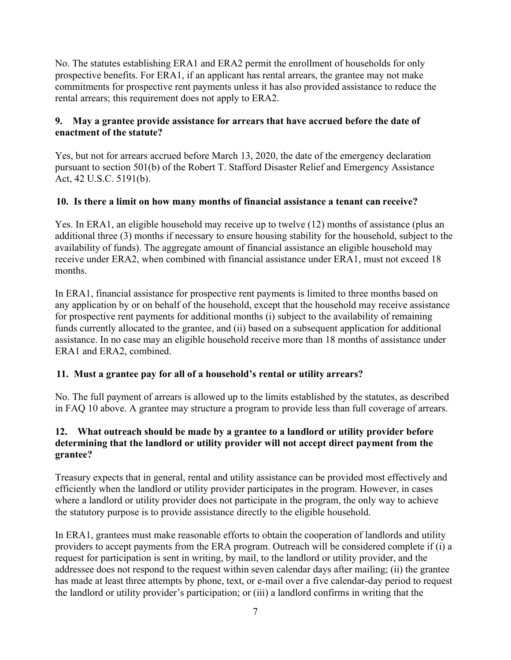No. The statutes establishing ERA1 and ERA2 permit the enrollment of households for only prospective benefits. For ERA1, if an applicant has rental arrears, the grantee may not make commitments for prospective rent payments unless it has also provided assistance to reduce the rental arrears; this requirement does not apply to ERA2.

#### **9. May a grantee provide assistance for arrears that have accrued before the date of enactment of the statute?**

Yes, but not for arrears accrued before March 13, 2020, the date of the emergency declaration pursuant to section 501(b) of the Robert T. Stafford Disaster Relief and Emergency Assistance Act, 42 U.S.C. 5191(b).

## **10. Is there a limit on how many months of financial assistance a tenant can receive?**

Yes. In ERA1, an eligible household may receive up to twelve (12) months of assistance (plus an additional three (3) months if necessary to ensure housing stability for the household, subject to the availability of funds). The aggregate amount of financial assistance an eligible household may receive under ERA2, when combined with financial assistance under ERA1, must not exceed 18 months.

In ERA1, financial assistance for prospective rent payments is limited to three months based on any application by or on behalf of the household, except that the household may receive assistance for prospective rent payments for additional months (i) subject to the availability of remaining funds currently allocated to the grantee, and (ii) based on a subsequent application for additional assistance. In no case may an eligible household receive more than 18 months of assistance under ERA1 and ERA2, combined.

## **11. Must a grantee pay for all of a household's rental or utility arrears?**

No. The full payment of arrears is allowed up to the limits established by the statutes, as described in FAQ 10 above. A grantee may structure a program to provide less than full coverage of arrears.

#### **12. What outreach should be made by a grantee to a landlord or utility provider before determining that the landlord or utility provider will not accept direct payment from the grantee?**

Treasury expects that in general, rental and utility assistance can be provided most effectively and efficiently when the landlord or utility provider participates in the program. However, in cases where a landlord or utility provider does not participate in the program, the only way to achieve the statutory purpose is to provide assistance directly to the eligible household.

In ERA1, grantees must make reasonable efforts to obtain the cooperation of landlords and utility providers to accept payments from the ERA program. Outreach will be considered complete if (i) a request for participation is sent in writing, by mail, to the landlord or utility provider, and the addressee does not respond to the request within seven calendar days after mailing; (ii) the grantee has made at least three attempts by phone, text, or e-mail over a five calendar-day period to request the landlord or utility provider's participation; or (iii) a landlord confirms in writing that the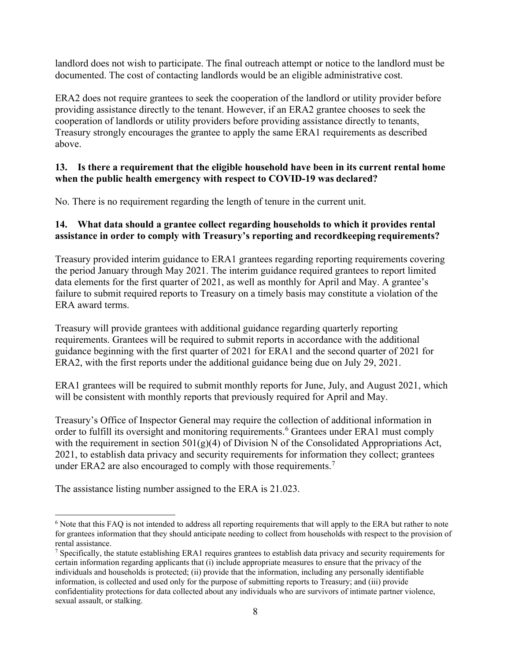landlord does not wish to participate. The final outreach attempt or notice to the landlord must be documented. The cost of contacting landlords would be an eligible administrative cost.

ERA2 does not require grantees to seek the cooperation of the landlord or utility provider before providing assistance directly to the tenant. However, if an ERA2 grantee chooses to seek the cooperation of landlords or utility providers before providing assistance directly to tenants, Treasury strongly encourages the grantee to apply the same ERA1 requirements as described above.

#### **13. Is there a requirement that the eligible household have been in its current rental home when the public health emergency with respect to COVID-19 was declared?**

No. There is no requirement regarding the length of tenure in the current unit.

#### **14. What data should a grantee collect regarding households to which it provides rental assistance in order to comply with Treasury's reporting and recordkeeping requirements?**

Treasury provided interim guidance to ERA1 grantees regarding reporting requirements covering the period January through May 2021. The interim guidance required grantees to report limited data elements for the first quarter of 2021, as well as monthly for April and May. A grantee's failure to submit required reports to Treasury on a timely basis may constitute a violation of the ERA award terms.

Treasury will provide grantees with additional guidance regarding quarterly reporting requirements. Grantees will be required to submit reports in accordance with the additional guidance beginning with the first quarter of 2021 for ERA1 and the second quarter of 2021 for ERA2, with the first reports under the additional guidance being due on July 29, 2021.

ERA1 grantees will be required to submit monthly reports for June, July, and August 2021, which will be consistent with monthly reports that previously required for April and May.

Treasury's Office of Inspector General may require the collection of additional information in order to fulfill its oversight and monitoring requirements.<sup>[6](#page-7-0)</sup> Grantees under ERA1 must comply with the requirement in section  $501(g)(4)$  of Division N of the Consolidated Appropriations Act, 2021, to establish data privacy and security requirements for information they collect; grantees under ERA2 are also encouraged to comply with those requirements.<sup>[7](#page-7-1)</sup>

The assistance listing number assigned to the ERA is 21.023.

<span id="page-7-0"></span><sup>6</sup> Note that this FAQ is not intended to address all reporting requirements that will apply to the ERA but rather to note for grantees information that they should anticipate needing to collect from households with respect to the provision of rental assistance.

<span id="page-7-1"></span> $^7$  Specifically, the statute establishing ERA1 requires grantees to establish data privacy and security requirements for certain information regarding applicants that (i) include appropriate measures to ensure that the privacy of the individuals and households is protected; (ii) provide that the information, including any personally identifiable information, is collected and used only for the purpose of submitting reports to Treasury; and (iii) provide confidentiality protections for data collected about any individuals who are survivors of intimate partner violence, sexual assault, or stalking.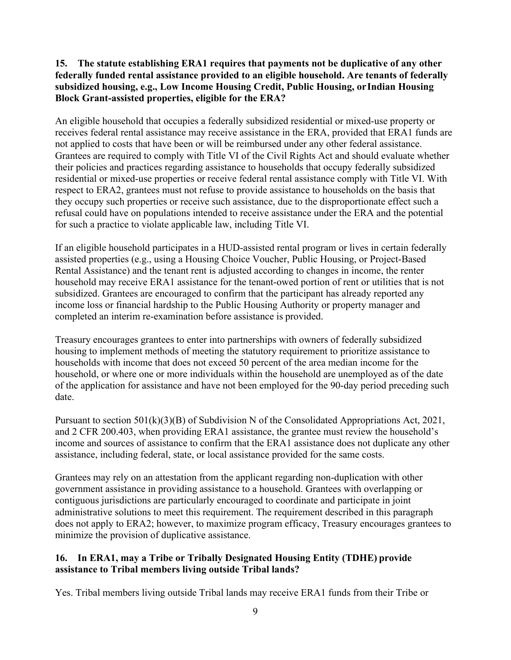#### **15. The statute establishing ERA1 requires that payments not be duplicative of any other federally funded rental assistance provided to an eligible household. Are tenants of federally subsidized housing, e.g., Low Income Housing Credit, Public Housing, orIndian Housing Block Grant-assisted properties, eligible for the ERA?**

An eligible household that occupies a federally subsidized residential or mixed-use property or receives federal rental assistance may receive assistance in the ERA, provided that ERA1 funds are not applied to costs that have been or will be reimbursed under any other federal assistance. Grantees are required to comply with Title VI of the Civil Rights Act and should evaluate whether their policies and practices regarding assistance to households that occupy federally subsidized residential or mixed-use properties or receive federal rental assistance comply with Title VI. With respect to ERA2, grantees must not refuse to provide assistance to households on the basis that they occupy such properties or receive such assistance, due to the disproportionate effect such a refusal could have on populations intended to receive assistance under the ERA and the potential for such a practice to violate applicable law, including Title VI.

If an eligible household participates in a HUD-assisted rental program or lives in certain federally assisted properties (e.g., using a Housing Choice Voucher, Public Housing, or Project-Based Rental Assistance) and the tenant rent is adjusted according to changes in income, the renter household may receive ERA1 assistance for the tenant-owed portion of rent or utilities that is not subsidized. Grantees are encouraged to confirm that the participant has already reported any income loss or financial hardship to the Public Housing Authority or property manager and completed an interim re-examination before assistance is provided.

Treasury encourages grantees to enter into partnerships with owners of federally subsidized housing to implement methods of meeting the statutory requirement to prioritize assistance to households with income that does not exceed 50 percent of the area median income for the household, or where one or more individuals within the household are unemployed as of the date of the application for assistance and have not been employed for the 90-day period preceding such date.

Pursuant to section 501(k)(3)(B) of Subdivision N of the Consolidated Appropriations Act, 2021, and 2 CFR 200.403, when providing ERA1 assistance, the grantee must review the household's income and sources of assistance to confirm that the ERA1 assistance does not duplicate any other assistance, including federal, state, or local assistance provided for the same costs.

Grantees may rely on an attestation from the applicant regarding non-duplication with other government assistance in providing assistance to a household. Grantees with overlapping or contiguous jurisdictions are particularly encouraged to coordinate and participate in joint administrative solutions to meet this requirement. The requirement described in this paragraph does not apply to ERA2; however, to maximize program efficacy, Treasury encourages grantees to minimize the provision of duplicative assistance.

## **16. In ERA1, may a Tribe or Tribally Designated Housing Entity (TDHE) provide assistance to Tribal members living outside Tribal lands?**

Yes. Tribal members living outside Tribal lands may receive ERA1 funds from their Tribe or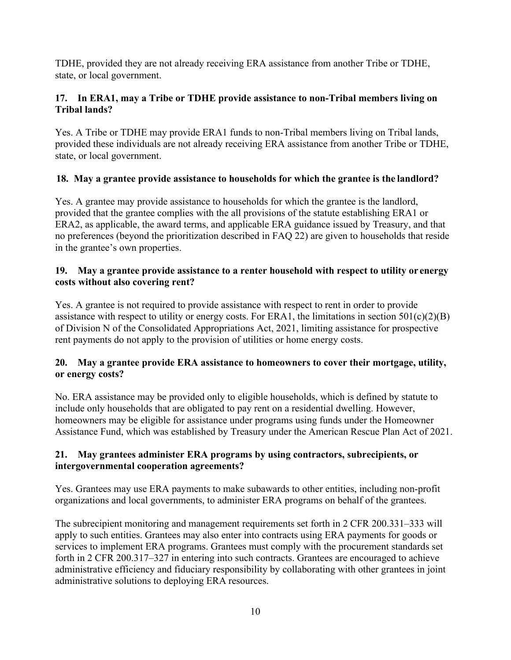TDHE, provided they are not already receiving ERA assistance from another Tribe or TDHE, state, or local government.

## **17. In ERA1, may a Tribe or TDHE provide assistance to non-Tribal members living on Tribal lands?**

Yes. A Tribe or TDHE may provide ERA1 funds to non-Tribal members living on Tribal lands, provided these individuals are not already receiving ERA assistance from another Tribe or TDHE, state, or local government.

# **18. May a grantee provide assistance to households for which the grantee is the landlord?**

Yes. A grantee may provide assistance to households for which the grantee is the landlord, provided that the grantee complies with the all provisions of the statute establishing ERA1 or ERA2, as applicable, the award terms, and applicable ERA guidance issued by Treasury, and that no preferences (beyond the prioritization described in FAQ 22) are given to households that reside in the grantee's own properties.

## **19. May a grantee provide assistance to a renter household with respect to utility or energy costs without also covering rent?**

Yes. A grantee is not required to provide assistance with respect to rent in order to provide assistance with respect to utility or energy costs. For ERA1, the limitations in section  $501(c)(2)(B)$ of Division N of the Consolidated Appropriations Act, 2021, limiting assistance for prospective rent payments do not apply to the provision of utilities or home energy costs.

## **20. May a grantee provide ERA assistance to homeowners to cover their mortgage, utility, or energy costs?**

No. ERA assistance may be provided only to eligible households, which is defined by statute to include only households that are obligated to pay rent on a residential dwelling. However, homeowners may be eligible for assistance under programs using funds under the Homeowner Assistance Fund, which was established by Treasury under the American Rescue Plan Act of 2021.

## **21. May grantees administer ERA programs by using contractors, subrecipients, or intergovernmental cooperation agreements?**

Yes. Grantees may use ERA payments to make subawards to other entities, including non-profit organizations and local governments, to administer ERA programs on behalf of the grantees.

The subrecipient monitoring and management requirements set forth in 2 CFR 200.331–333 will apply to such entities. Grantees may also enter into contracts using ERA payments for goods or services to implement ERA programs. Grantees must comply with the procurement standards set forth in 2 CFR 200.317–327 in entering into such contracts. Grantees are encouraged to achieve administrative efficiency and fiduciary responsibility by collaborating with other grantees in joint administrative solutions to deploying ERA resources.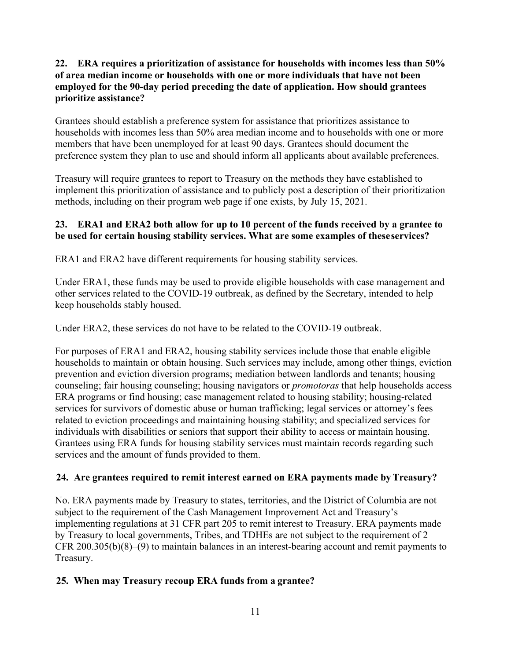## **22. ERA requires a prioritization of assistance for households with incomes less than 50% of area median income or households with one or more individuals that have not been employed for the 90-day period preceding the date of application. How should grantees prioritize assistance?**

Grantees should establish a preference system for assistance that prioritizes assistance to households with incomes less than 50% area median income and to households with one or more members that have been unemployed for at least 90 days. Grantees should document the preference system they plan to use and should inform all applicants about available preferences.

Treasury will require grantees to report to Treasury on the methods they have established to implement this prioritization of assistance and to publicly post a description of their prioritization methods, including on their program web page if one exists, by July 15, 2021.

#### **23. ERA1 and ERA2 both allow for up to 10 percent of the funds received by a grantee to be used for certain housing stability services. What are some examples of theseservices?**

ERA1 and ERA2 have different requirements for housing stability services.

Under ERA1, these funds may be used to provide eligible households with case management and other services related to the COVID-19 outbreak, as defined by the Secretary, intended to help keep households stably housed.

Under ERA2, these services do not have to be related to the COVID-19 outbreak.

For purposes of ERA1 and ERA2, housing stability services include those that enable eligible households to maintain or obtain housing. Such services may include, among other things, eviction prevention and eviction diversion programs; mediation between landlords and tenants; housing counseling; fair housing counseling; housing navigators or *promotoras* that help households access ERA programs or find housing; case management related to housing stability; housing-related services for survivors of domestic abuse or human trafficking; legal services or attorney's fees related to eviction proceedings and maintaining housing stability; and specialized services for individuals with disabilities or seniors that support their ability to access or maintain housing. Grantees using ERA funds for housing stability services must maintain records regarding such services and the amount of funds provided to them.

## **24. Are grantees required to remit interest earned on ERA payments made byTreasury?**

No. ERA payments made by Treasury to states, territories, and the District of Columbia are not subject to the requirement of the Cash Management Improvement Act and Treasury's implementing regulations at 31 CFR part 205 to remit interest to Treasury. ERA payments made by Treasury to local governments, Tribes, and TDHEs are not subject to the requirement of 2 CFR 200.305(b)(8)–(9) to maintain balances in an interest-bearing account and remit payments to Treasury.

## **25. When may Treasury recoup ERA funds from a grantee?**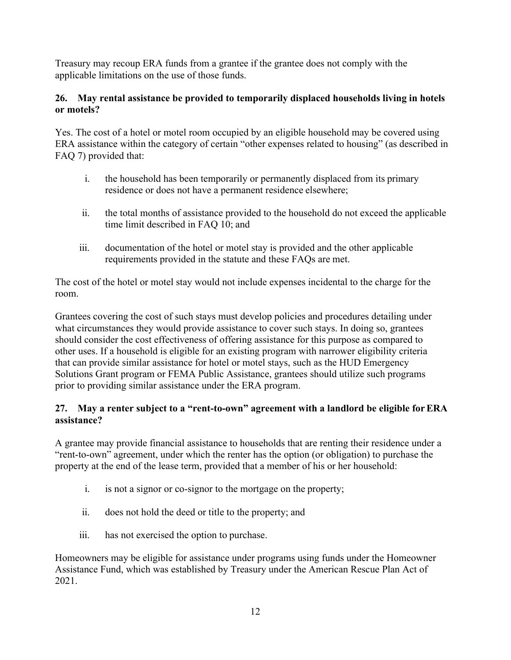Treasury may recoup ERA funds from a grantee if the grantee does not comply with the applicable limitations on the use of those funds.

## **26. May rental assistance be provided to temporarily displaced households living in hotels or motels?**

Yes. The cost of a hotel or motel room occupied by an eligible household may be covered using ERA assistance within the category of certain "other expenses related to housing" (as described in FAQ 7) provided that:

- i. the household has been temporarily or permanently displaced from its primary residence or does not have a permanent residence elsewhere;
- ii. the total months of assistance provided to the household do not exceed the applicable time limit described in FAQ 10; and
- iii. documentation of the hotel or motel stay is provided and the other applicable requirements provided in the statute and these FAQs are met.

The cost of the hotel or motel stay would not include expenses incidental to the charge for the room.

Grantees covering the cost of such stays must develop policies and procedures detailing under what circumstances they would provide assistance to cover such stays. In doing so, grantees should consider the cost effectiveness of offering assistance for this purpose as compared to other uses. If a household is eligible for an existing program with narrower eligibility criteria that can provide similar assistance for hotel or motel stays, such as the HUD Emergency Solutions Grant program or FEMA Public Assistance, grantees should utilize such programs prior to providing similar assistance under the ERA program.

# **27. May a renter subject to a "rent-to-own" agreement with a landlord be eligible forERA assistance?**

A grantee may provide financial assistance to households that are renting their residence under a "rent-to-own" agreement, under which the renter has the option (or obligation) to purchase the property at the end of the lease term, provided that a member of his or her household:

- i. is not a signor or co-signor to the mortgage on the property;
- ii. does not hold the deed or title to the property; and
- iii. has not exercised the option to purchase.

Homeowners may be eligible for assistance under programs using funds under the Homeowner Assistance Fund, which was established by Treasury under the American Rescue Plan Act of 2021.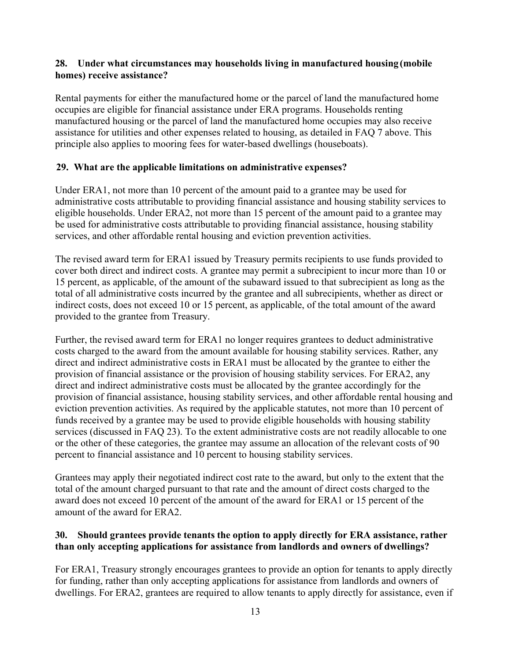#### **28. Under what circumstances may households living in manufactured housing (mobile homes) receive assistance?**

Rental payments for either the manufactured home or the parcel of land the manufactured home occupies are eligible for financial assistance under ERA programs. Households renting manufactured housing or the parcel of land the manufactured home occupies may also receive assistance for utilities and other expenses related to housing, as detailed in FAQ 7 above. This principle also applies to mooring fees for water-based dwellings (houseboats).

## **29. What are the applicable limitations on administrative expenses?**

Under ERA1, not more than 10 percent of the amount paid to a grantee may be used for administrative costs attributable to providing financial assistance and housing stability services to eligible households. Under ERA2, not more than 15 percent of the amount paid to a grantee may be used for administrative costs attributable to providing financial assistance, housing stability services, and other affordable rental housing and eviction prevention activities.

The revised award term for ERA1 issued by Treasury permits recipients to use funds provided to cover both direct and indirect costs. A grantee may permit a subrecipient to incur more than 10 or 15 percent, as applicable, of the amount of the subaward issued to that subrecipient as long as the total of all administrative costs incurred by the grantee and all subrecipients, whether as direct or indirect costs, does not exceed 10 or 15 percent, as applicable, of the total amount of the award provided to the grantee from Treasury.

Further, the revised award term for ERA1 no longer requires grantees to deduct administrative costs charged to the award from the amount available for housing stability services. Rather, any direct and indirect administrative costs in ERA1 must be allocated by the grantee to either the provision of financial assistance or the provision of housing stability services. For ERA2, any direct and indirect administrative costs must be allocated by the grantee accordingly for the provision of financial assistance, housing stability services, and other affordable rental housing and eviction prevention activities. As required by the applicable statutes, not more than 10 percent of funds received by a grantee may be used to provide eligible households with housing stability services (discussed in FAQ 23). To the extent administrative costs are not readily allocable to one or the other of these categories, the grantee may assume an allocation of the relevant costs of 90 percent to financial assistance and 10 percent to housing stability services.

Grantees may apply their negotiated indirect cost rate to the award, but only to the extent that the total of the amount charged pursuant to that rate and the amount of direct costs charged to the award does not exceed 10 percent of the amount of the award for ERA1 or 15 percent of the amount of the award for ERA2.

## **30. Should grantees provide tenants the option to apply directly for ERA assistance, rather than only accepting applications for assistance from landlords and owners of dwellings?**

For ERA1, Treasury strongly encourages grantees to provide an option for tenants to apply directly for funding, rather than only accepting applications for assistance from landlords and owners of dwellings. For ERA2, grantees are required to allow tenants to apply directly for assistance, even if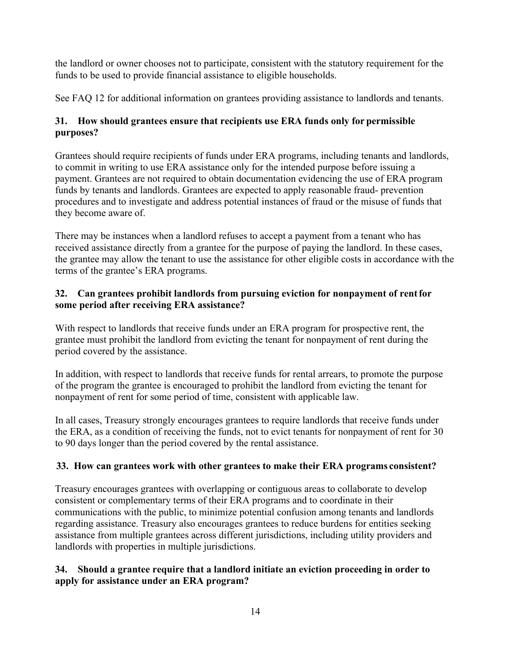the landlord or owner chooses not to participate, consistent with the statutory requirement for the funds to be used to provide financial assistance to eligible households.

See FAQ 12 for additional information on grantees providing assistance to landlords and tenants.

# **31. How should grantees ensure that recipients use ERA funds only for permissible purposes?**

Grantees should require recipients of funds under ERA programs, including tenants and landlords, to commit in writing to use ERA assistance only for the intended purpose before issuing a payment. Grantees are not required to obtain documentation evidencing the use of ERA program funds by tenants and landlords. Grantees are expected to apply reasonable fraud- prevention procedures and to investigate and address potential instances of fraud or the misuse of funds that they become aware of.

There may be instances when a landlord refuses to accept a payment from a tenant who has received assistance directly from a grantee for the purpose of paying the landlord. In these cases, the grantee may allow the tenant to use the assistance for other eligible costs in accordance with the terms of the grantee's ERA programs.

## **32. Can grantees prohibit landlords from pursuing eviction for nonpayment of rentfor some period after receiving ERA assistance?**

With respect to landlords that receive funds under an ERA program for prospective rent, the grantee must prohibit the landlord from evicting the tenant for nonpayment of rent during the period covered by the assistance.

In addition, with respect to landlords that receive funds for rental arrears, to promote the purpose of the program the grantee is encouraged to prohibit the landlord from evicting the tenant for nonpayment of rent for some period of time, consistent with applicable law.

In all cases, Treasury strongly encourages grantees to require landlords that receive funds under the ERA, as a condition of receiving the funds, not to evict tenants for nonpayment of rent for 30 to 90 days longer than the period covered by the rental assistance.

# **33. How can grantees work with other grantees to make their ERA programs consistent?**

Treasury encourages grantees with overlapping or contiguous areas to collaborate to develop consistent or complementary terms of their ERA programs and to coordinate in their communications with the public, to minimize potential confusion among tenants and landlords regarding assistance. Treasury also encourages grantees to reduce burdens for entities seeking assistance from multiple grantees across different jurisdictions, including utility providers and landlords with properties in multiple jurisdictions.

# **34. Should a grantee require that a landlord initiate an eviction proceeding in order to apply for assistance under an ERA program?**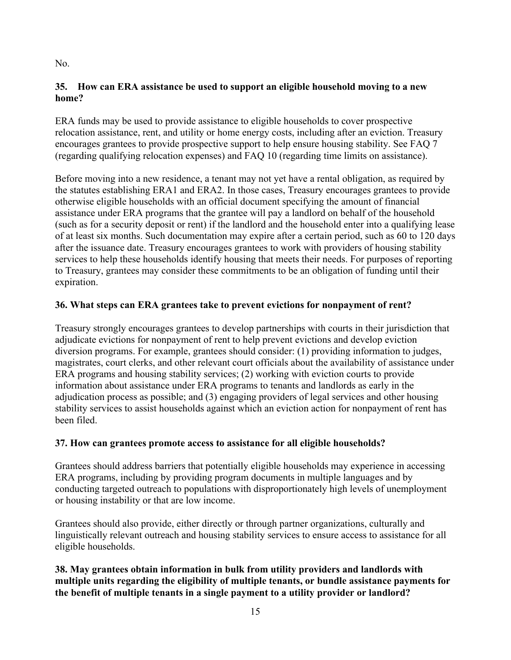## **35. How can ERA assistance be used to support an eligible household moving to a new home?**

ERA funds may be used to provide assistance to eligible households to cover prospective relocation assistance, rent, and utility or home energy costs, including after an eviction. Treasury encourages grantees to provide prospective support to help ensure housing stability. See FAQ 7 (regarding qualifying relocation expenses) and FAQ 10 (regarding time limits on assistance).

Before moving into a new residence, a tenant may not yet have a rental obligation, as required by the statutes establishing ERA1 and ERA2. In those cases, Treasury encourages grantees to provide otherwise eligible households with an official document specifying the amount of financial assistance under ERA programs that the grantee will pay a landlord on behalf of the household (such as for a security deposit or rent) if the landlord and the household enter into a qualifying lease of at least six months. Such documentation may expire after a certain period, such as 60 to 120 days after the issuance date. Treasury encourages grantees to work with providers of housing stability services to help these households identify housing that meets their needs. For purposes of reporting to Treasury, grantees may consider these commitments to be an obligation of funding until their expiration.

## **36. What steps can ERA grantees take to prevent evictions for nonpayment of rent?**

Treasury strongly encourages grantees to develop partnerships with courts in their jurisdiction that adjudicate evictions for nonpayment of rent to help prevent evictions and develop eviction diversion programs. For example, grantees should consider: (1) providing information to judges, magistrates, court clerks, and other relevant court officials about the availability of assistance under ERA programs and housing stability services; (2) working with eviction courts to provide information about assistance under ERA programs to tenants and landlords as early in the adjudication process as possible; and (3) engaging providers of legal services and other housing stability services to assist households against which an eviction action for nonpayment of rent has been filed.

## **37. How can grantees promote access to assistance for all eligible households?**

Grantees should address barriers that potentially eligible households may experience in accessing ERA programs, including by providing program documents in multiple languages and by conducting targeted outreach to populations with disproportionately high levels of unemployment or housing instability or that are low income.

Grantees should also provide, either directly or through partner organizations, culturally and linguistically relevant outreach and housing stability services to ensure access to assistance for all eligible households.

# **38. May grantees obtain information in bulk from utility providers and landlords with multiple units regarding the eligibility of multiple tenants, or bundle assistance payments for the benefit of multiple tenants in a single payment to a utility provider or landlord?**

No.